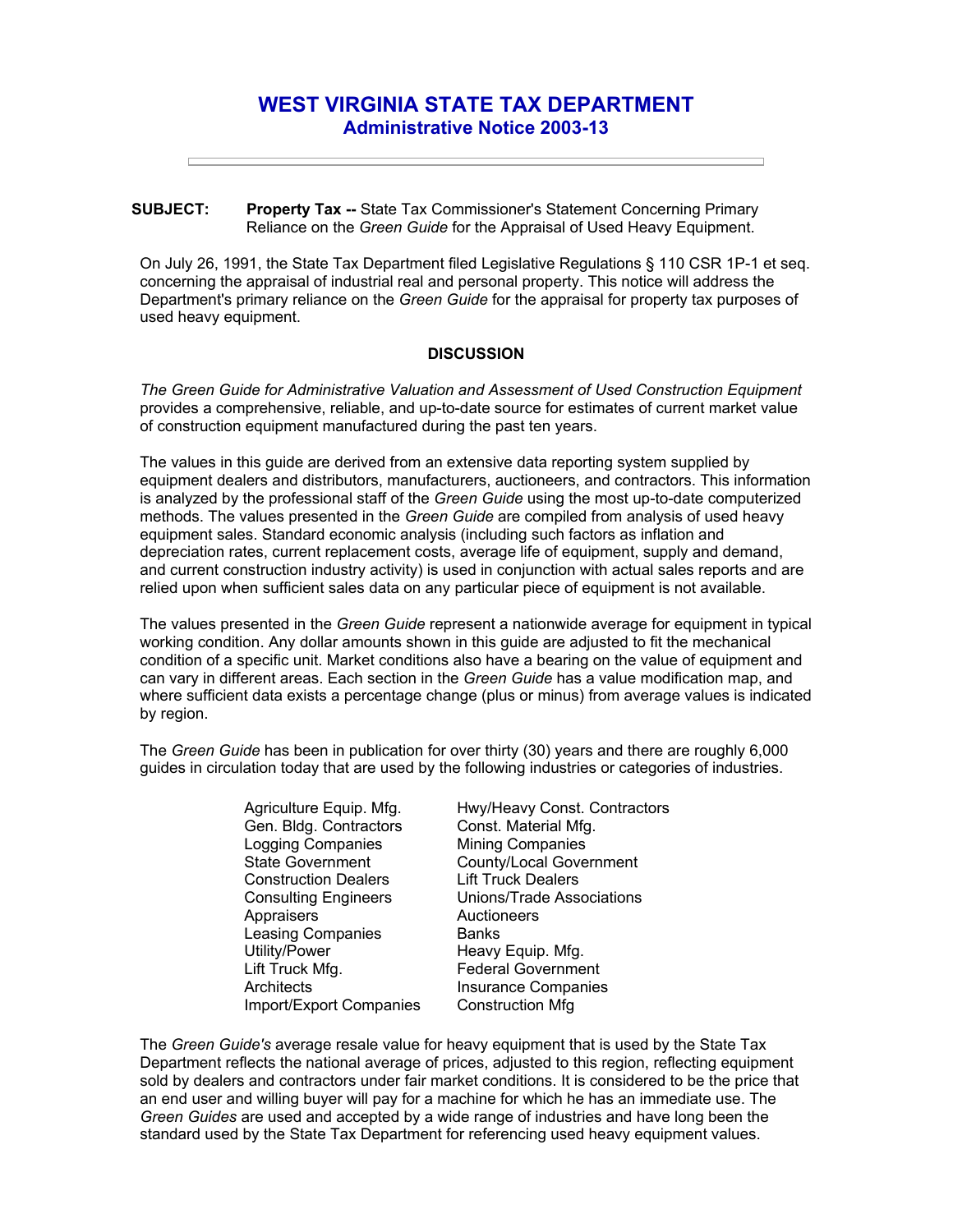## **WEST VIRGINIA STATE TAX DEPARTMENT Administrative Notice 2003-13**

## **SUBJECT: Property Tax --** State Tax Commissioner's Statement Concerning Primary Reliance on the *Green Guide* for the Appraisal of Used Heavy Equipment.

On July 26, 1991, the State Tax Department filed Legislative Regulations § 110 CSR 1P-1 et seq. concerning the appraisal of industrial real and personal property. This notice will address the Department's primary reliance on the *Green Guide* for the appraisal for property tax purposes of used heavy equipment.

## **DISCUSSION**

*The Green Guide for Administrative Valuation and Assessment of Used Construction Equipment*  provides a comprehensive, reliable, and up-to-date source for estimates of current market value of construction equipment manufactured during the past ten years.

The values in this guide are derived from an extensive data reporting system supplied by equipment dealers and distributors, manufacturers, auctioneers, and contractors. This information is analyzed by the professional staff of the *Green Guide* using the most up-to-date computerized methods. The values presented in the *Green Guide* are compiled from analysis of used heavy equipment sales. Standard economic analysis (including such factors as inflation and depreciation rates, current replacement costs, average life of equipment, supply and demand, and current construction industry activity) is used in conjunction with actual sales reports and are relied upon when sufficient sales data on any particular piece of equipment is not available.

The values presented in the *Green Guide* represent a nationwide average for equipment in typical working condition. Any dollar amounts shown in this guide are adjusted to fit the mechanical condition of a specific unit. Market conditions also have a bearing on the value of equipment and can vary in different areas. Each section in the *Green Guide* has a value modification map, and where sufficient data exists a percentage change (plus or minus) from average values is indicated by region.

The *Green Guide* has been in publication for over thirty (30) years and there are roughly 6,000 guides in circulation today that are used by the following industries or categories of industries.

> Agriculture Equip. Mfg. Gen. Bldg. Contractors Logging Companies State Government Construction Dealers Consulting Engineers **Appraisers** Leasing Companies Utility/Power Lift Truck Mfg. **Architects** Import/Export Companies

Hwy/Heavy Const. Contractors Const. Material Mfg. Mining Companies County/Local Government Lift Truck Dealers Unions/Trade Associations **Auctioneers Banks** Heavy Equip. Mfg. Federal Government Insurance Companies Construction Mfg

The *Green Guide's* average resale value for heavy equipment that is used by the State Tax Department reflects the national average of prices, adjusted to this region, reflecting equipment sold by dealers and contractors under fair market conditions. It is considered to be the price that an end user and willing buyer will pay for a machine for which he has an immediate use. The *Green Guides* are used and accepted by a wide range of industries and have long been the standard used by the State Tax Department for referencing used heavy equipment values.